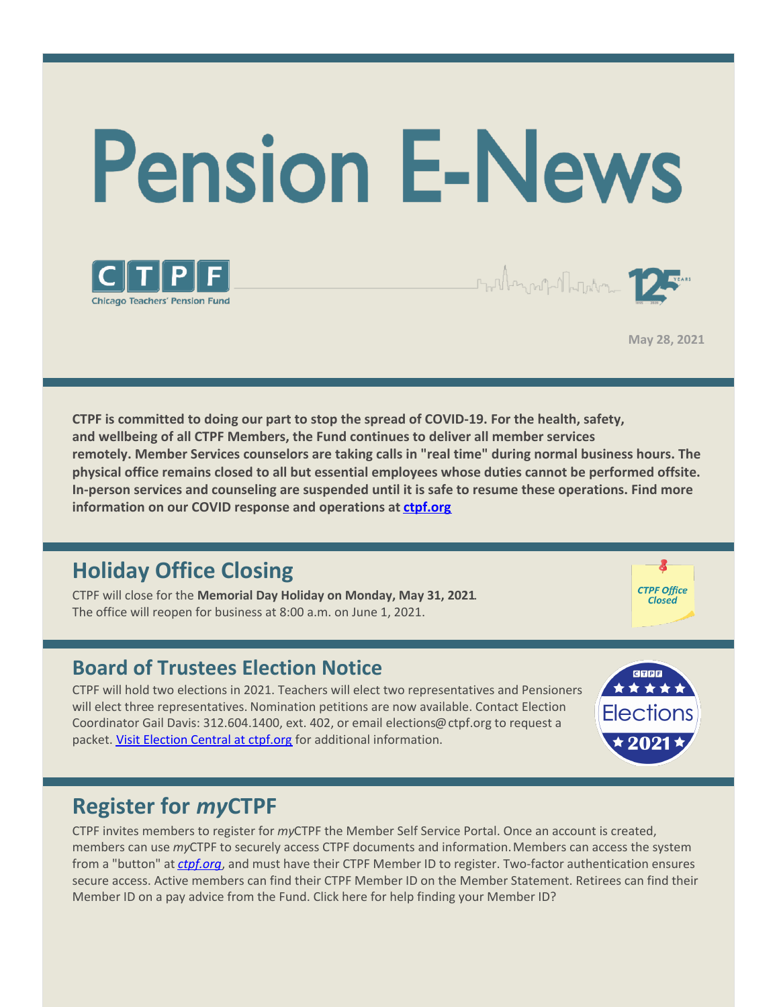



**May 28, 2021**

 $\begin{picture}(120,111){\line(1,0){155}} \put(15,111){\line(1,0){155}} \put(15,111){\line(1,0){155}} \put(15,111){\line(1,0){155}} \put(15,111){\line(1,0){155}} \put(15,111){\line(1,0){155}} \put(15,111){\line(1,0){155}} \put(15,111){\line(1,0){155}} \put(15,111){\line(1,0){155}} \put(15,111){\line(1,0){155}} \put(15,1$ 

**CTPF is committed to doing our part to stop the spread of COVID-19. For the health, safety, and wellbeing of all CTPF Members, the Fund continues to deliver all member services remotely. Member Services counselors are taking calls in "real time" during normal business hours. The physical office remains closed to all but essential employees whose duties cannot be performed offsite. In-person services and counseling are suspended until it is safe to resume these operations. Find more information on our COVID response and operations at [ctpf.org](http://www.ctpf.org)**

## **Holiday Office Closing**

CTPF will close for the **Memorial Day Holiday on Monday, May 31, 2021**. The office will reopen for business at 8:00 a.m. on June 1, 2021.

### **Board of Trustees Election Notice**

CTPF will hold two elections in 2021. Teachers will elect two representatives and Pensioners will elect three representatives. Nomination petitions are now available. Contact Election Coordinator Gail Davis: 312.604.1400, ext. 402, or email elections@ctpf.org to request a packet. Visit [Election](https://www.ctpf.org/about-ctpf/election-central-2021) Central at ctpf.org for additional information.



**CTPF Office** Closed

## **Register for** *my***CTPF**

CTPF invites members to register for *my*CTPF the Member Self Service Portal. Once an account is created, members can use *my*CTPF to securely access CTPF documents and information.Members can access the system from a "button" at *[ctpf.org](http://www.ctpf.org)*, and must have their CTPF Member ID to register. Two-factor authentication ensures secure access. Active members can find their CTPF Member ID on the Member Statement. Retirees can find their Member ID on a pay advice from the Fund. Click here for help finding your Member ID?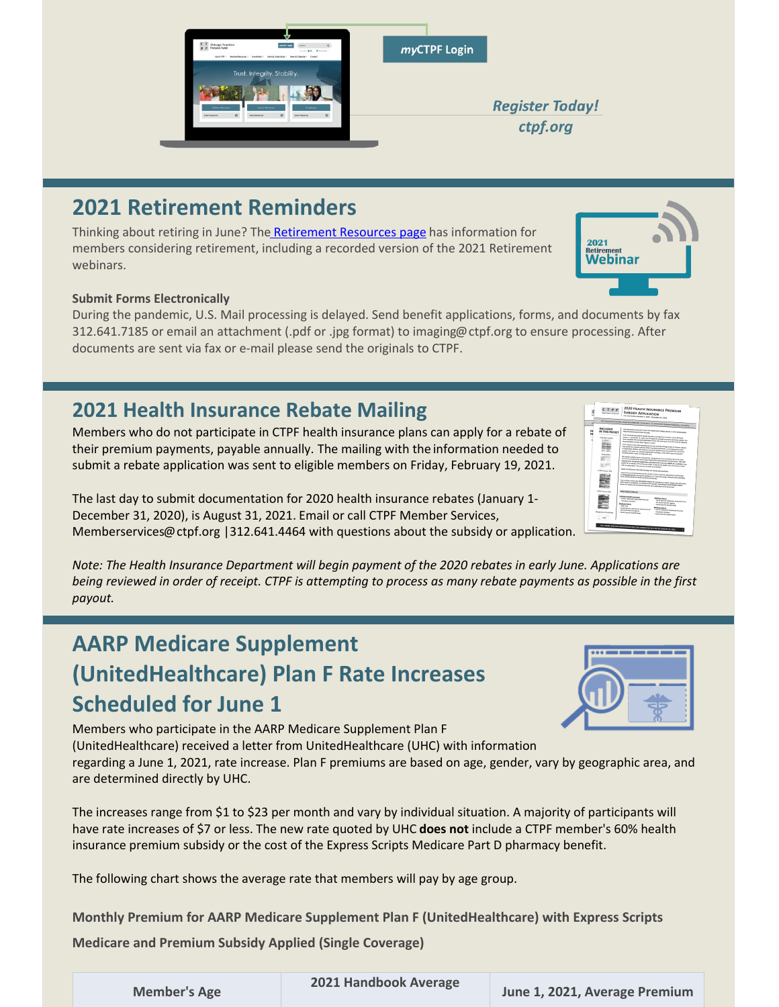### members considering retirement, including a recorded version of the 2021 Retirement webinars.

**2021 Retirement Reminders**

### **Submit Forms Electronically**

During the pandemic, U.S. Mail processing is delayed. Send benefit applications, forms, and documents by fax 312.641.7185 or email an attachment (.pdf or .jpg format) to imaging@ctpf.org to ensure processing. After documents are sent via fax or e-mail please send the originals to CTPF.

## **2021 Health Insurance Rebate Mailing**

Members who do not participate in CTPF health insurance plans can apply for a rebate of their premium payments, payable annually. The mailing with the information needed to submit a rebate application was sent to eligible members on Friday, February 19, 2021.

The last day to submit documentation for 2020 health insurance rebates (January 1- December 31, 2020), is August 31, 2021. Email or call CTPF Member Services, Memberservices@ctpf.org |312.641.4464 with questions about the subsidy or application.

*Note: The Health Insurance Department will begin payment of the 2020 rebates in early June. Applications are being reviewed in order of receipt. CTPF is attempting to process as many rebate payments as possible in the first payout.*

# **AARP Medicare Supplement (UnitedHealthcare) Plan F Rate Increases Scheduled for June 1**

Members who participate in the AARP Medicare Supplement Plan F (UnitedHealthcare) received a letter from UnitedHealthcare (UHC) with information regarding a June 1, 2021, rate increase. Plan F premiums are based on age, gender, vary by geographic area, and are determined directly by UHC.

The increases range from \$1 to \$23 per month and vary by individual situation. A majority of participants will have rate increases of \$7 or less. The new rate quoted by UHC **does not** include a CTPF member's 60% health insurance premium subsidy or the cost of the Express Scripts Medicare Part D pharmacy benefit.

The following chart shows the average rate that members will pay by age group.

**Monthly Premium for AARP Medicare Supplement Plan F (UnitedHealthcare) with Express Scripts Medicare and Premium Subsidy Applied (Single Coverage)**





**Register Today!** ctpf.org



Thinking about retiring in June? Th[e Retirement Resources page](https://www.ctpf.org/member-resources/active-members/retirement-resources) has information for



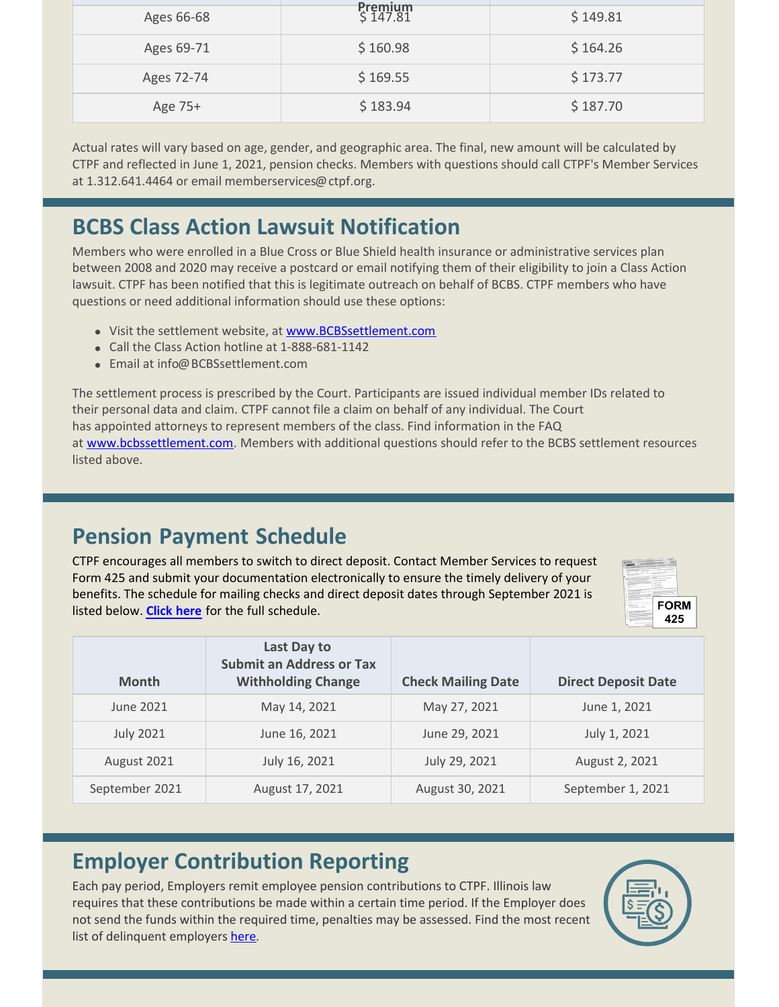| Ages 66-68 | <b>Premium</b><br>\$147.81 | \$149.81 |
|------------|----------------------------|----------|
| Ages 69-71 | \$160.98                   | \$164.26 |
| Ages 72-74 | \$169.55                   | \$173.77 |
| Age 75+    | \$183.94                   | \$187.70 |

Actual rates will vary based on age, gender, and geographic area. The final, new amount will be calculated by CTPF and reflected in June 1, 2021, pension checks. Members with questions should call CTPF's Member Services at 1.312.641.4464 or email memberservices@ctpf.org.

# **BCBS Class Action Lawsuit Notification**

Members who were enrolled in a Blue Cross or Blue Shield health insurance or administrative services plan between 2008 and 2020 may receive a postcard or email notifying them of their eligibility to join a Class Action lawsuit. CTPF has been notified that this is legitimate outreach on behalf of BCBS. CTPF members who have questions or need additional information should use these options:

- Visit the settlement website, at [www.BCBSsettlement.com](http://www.bcbssettlement.com)
- Call the Class Action hotline at 1-888-681-1142
- Email at info@BCBSsettlement.com

The settlement process is prescribed by the Court. Participants are issued individual member IDs related to their personal data and claim. CTPF cannot file a claim on behalf of any individual. The Court has appointed attorneys to represent members of the class. Find information in the FAQ at [www.bcbssettlement.com](http://www.bcbssettlement.com). Members with additional questions should refer to the BCBS settlement resources listed above.

## **Pension Payment Schedule**

CTPF encourages all members to switch to direct deposit. Contact Member Services to request Form 425 and submit your documentation electronically to ensure the timely delivery of your benefits. The schedule for mailing checks and direct deposit dates through September 2021 is listed below. **[Click here](https://www.ctpf.org/pension-payments)** for the full schedule.



| <b>Month</b>     | Last Day to<br><b>Submit an Address or Tax</b><br><b>Withholding Change</b> | <b>Check Mailing Date</b> | <b>Direct Deposit Date</b> |
|------------------|-----------------------------------------------------------------------------|---------------------------|----------------------------|
| June 2021        | May 14, 2021                                                                | May 27, 2021              | June 1, 2021               |
| <b>July 2021</b> | June 16, 2021                                                               | June 29, 2021             | July 1, 2021               |
| August 2021      | July 16, 2021                                                               | July 29, 2021             | August 2, 2021             |
| September 2021   | August 17, 2021                                                             | August 30, 2021           | September 1, 2021          |

## **Employer Contribution Reporting**

Each pay period, Employers remit employee pension contributions to CTPF. Illinois law requires that these contributions be made within a certain time period. If the Employer does not send the funds within the required time, penalties may be assessed. Find the most recent list of delinquent employers [here](http://ctpf.org/employer-contribution-reporting).